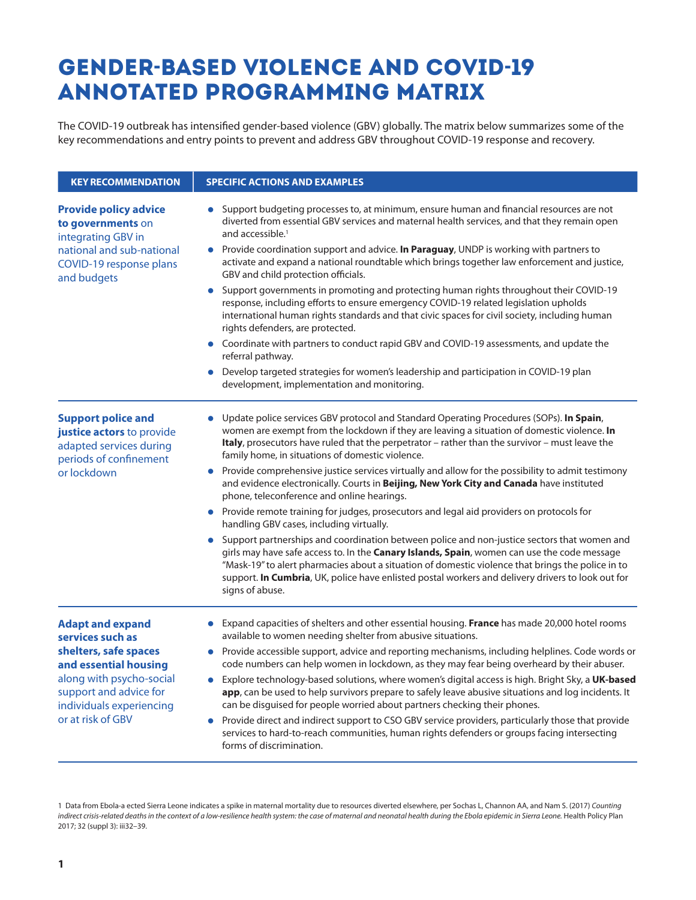## Gender**-**based violence and COVID**-**19 Annotated Programming Matrix

The COVID-19 outbreak has intensified gender-based violence (GBV) globally. The matrix below summarizes some of the key recommendations and entry points to prevent and address GBV throughout COVID-19 response and recovery.

| <b>KEY RECOMMENDATION</b>                                                                                                                                                                            | <b>SPECIFIC ACTIONS AND EXAMPLES</b>                                                                                                                                                                                                                                                                                                                                                                                                 |
|------------------------------------------------------------------------------------------------------------------------------------------------------------------------------------------------------|--------------------------------------------------------------------------------------------------------------------------------------------------------------------------------------------------------------------------------------------------------------------------------------------------------------------------------------------------------------------------------------------------------------------------------------|
| <b>Provide policy advice</b><br>to governments on<br>integrating GBV in<br>national and sub-national<br>COVID-19 response plans<br>and budgets                                                       | Support budgeting processes to, at minimum, ensure human and financial resources are not<br>diverted from essential GBV services and maternal health services, and that they remain open<br>and accessible. <sup>1</sup>                                                                                                                                                                                                             |
|                                                                                                                                                                                                      | Provide coordination support and advice. In Paraguay, UNDP is working with partners to<br>activate and expand a national roundtable which brings together law enforcement and justice,<br>GBV and child protection officials.                                                                                                                                                                                                        |
|                                                                                                                                                                                                      | Support governments in promoting and protecting human rights throughout their COVID-19<br>$\bullet$<br>response, including efforts to ensure emergency COVID-19 related legislation upholds<br>international human rights standards and that civic spaces for civil society, including human<br>rights defenders, are protected.                                                                                                     |
|                                                                                                                                                                                                      | Coordinate with partners to conduct rapid GBV and COVID-19 assessments, and update the<br>$\bullet$<br>referral pathway.                                                                                                                                                                                                                                                                                                             |
|                                                                                                                                                                                                      | Develop targeted strategies for women's leadership and participation in COVID-19 plan<br>development, implementation and monitoring.                                                                                                                                                                                                                                                                                                 |
| <b>Support police and</b><br>justice actors to provide<br>adapted services during<br>periods of confinement<br>or lockdown                                                                           | Update police services GBV protocol and Standard Operating Procedures (SOPs). In Spain,<br>women are exempt from the lockdown if they are leaving a situation of domestic violence. In<br>Italy, prosecutors have ruled that the perpetrator - rather than the survivor - must leave the<br>family home, in situations of domestic violence.                                                                                         |
|                                                                                                                                                                                                      | Provide comprehensive justice services virtually and allow for the possibility to admit testimony<br>$\bullet$<br>and evidence electronically. Courts in Beijing, New York City and Canada have instituted<br>phone, teleconference and online hearings.                                                                                                                                                                             |
|                                                                                                                                                                                                      | Provide remote training for judges, prosecutors and legal aid providers on protocols for<br>$\bullet$<br>handling GBV cases, including virtually.                                                                                                                                                                                                                                                                                    |
|                                                                                                                                                                                                      | Support partnerships and coordination between police and non-justice sectors that women and<br>$\bullet$<br>girls may have safe access to. In the Canary Islands, Spain, women can use the code message<br>"Mask-19" to alert pharmacies about a situation of domestic violence that brings the police in to<br>support. In Cumbria, UK, police have enlisted postal workers and delivery drivers to look out for<br>signs of abuse. |
| <b>Adapt and expand</b><br>services such as<br>shelters, safe spaces<br>and essential housing<br>along with psycho-social<br>support and advice for<br>individuals experiencing<br>or at risk of GBV | Expand capacities of shelters and other essential housing. <b>France</b> has made 20,000 hotel rooms<br>$\bullet$<br>available to women needing shelter from abusive situations.                                                                                                                                                                                                                                                     |
|                                                                                                                                                                                                      | Provide accessible support, advice and reporting mechanisms, including helplines. Code words or<br>code numbers can help women in lockdown, as they may fear being overheard by their abuser.                                                                                                                                                                                                                                        |
|                                                                                                                                                                                                      | • Explore technology-based solutions, where women's digital access is high. Bright Sky, a UK-based<br>app, can be used to help survivors prepare to safely leave abusive situations and log incidents. It<br>can be disguised for people worried about partners checking their phones.                                                                                                                                               |
|                                                                                                                                                                                                      | Provide direct and indirect support to CSO GBV service providers, particularly those that provide<br>services to hard-to-reach communities, human rights defenders or groups facing intersecting<br>forms of discrimination.                                                                                                                                                                                                         |

<sup>1</sup> Data from Ebola-a ected Sierra Leone indicates a spike in maternal mortality due to resources diverted elsewhere, per Sochas L, Channon AA, and Nam S. (2017) *Counting indirect crisis-related deaths in the context of a low-resilience health system: the case of maternal and neonatal health during the Ebola epidemic in Sierra Leone.* Health Policy Plan 2017; 32 (suppl 3): iii32–39.